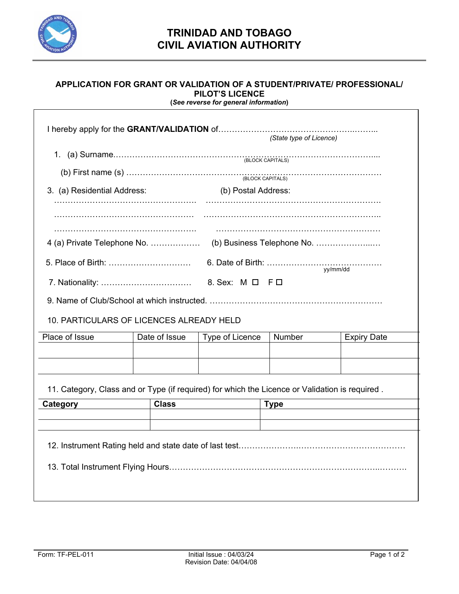

## **APPLICATION FOR GRANT OR VALIDATION OF A STUDENT/PRIVATE/ PROFESSIONAL/ PILOT'S LICENCE**

**(***See reverse for general information***)** 

| (State type of Licence)                                                                                                                                                              |               |                     |             |                    |  |  |  |  |  |  |
|--------------------------------------------------------------------------------------------------------------------------------------------------------------------------------------|---------------|---------------------|-------------|--------------------|--|--|--|--|--|--|
| (b) First name (s) $\ldots$ $\ldots$ $\ldots$ $\ldots$ $\ldots$ $\ldots$ $\ldots$ $\ldots$ $\ldots$ $\ldots$ $\ldots$ $\ldots$ $\ldots$ $\ldots$ $\ldots$ $\ldots$ $\ldots$ $\ldots$ |               |                     |             |                    |  |  |  |  |  |  |
| 3. (a) Residential Address:                                                                                                                                                          |               | (b) Postal Address: |             |                    |  |  |  |  |  |  |
|                                                                                                                                                                                      |               |                     |             |                    |  |  |  |  |  |  |
|                                                                                                                                                                                      | yy/mm/dd      |                     |             |                    |  |  |  |  |  |  |
|                                                                                                                                                                                      |               |                     |             |                    |  |  |  |  |  |  |
| 10. PARTICULARS OF LICENCES ALREADY HELD                                                                                                                                             |               |                     |             |                    |  |  |  |  |  |  |
| Place of Issue                                                                                                                                                                       | Date of Issue | Type of Licence     | Number      | <b>Expiry Date</b> |  |  |  |  |  |  |
|                                                                                                                                                                                      |               |                     |             |                    |  |  |  |  |  |  |
|                                                                                                                                                                                      |               |                     |             |                    |  |  |  |  |  |  |
| 11. Category, Class and or Type (if required) for which the Licence or Validation is required.                                                                                       |               |                     |             |                    |  |  |  |  |  |  |
| Category                                                                                                                                                                             | <b>Class</b>  |                     | <b>Type</b> |                    |  |  |  |  |  |  |
|                                                                                                                                                                                      |               |                     |             |                    |  |  |  |  |  |  |
|                                                                                                                                                                                      |               |                     |             |                    |  |  |  |  |  |  |